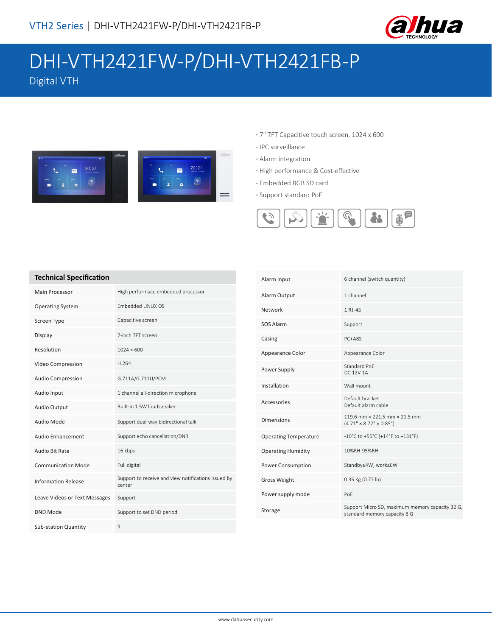

# DHI-VTH2421FW-P/DHI-VTH2421FB-P Digital VTH

 $=$ 



- **·** 7" TFT Capacitive touch screen, 1024 x 600
- **·** IPC surveillance
- **·** Alarm integration
- **·** High performance & Cost-effective
- **·** Embedded 8GB SD card **·** Support standard PoE



### **Technical Specification**

| Main Processor                | High performace embedded processor                            |
|-------------------------------|---------------------------------------------------------------|
| <b>Operating System</b>       | Embedded LINUX OS                                             |
| Screen Type                   | Capacitive screen                                             |
| Display                       | 7-inch TFT screen                                             |
| Resolution                    | $1024 \times 600$                                             |
| Video Compression             | H.264                                                         |
| <b>Audio Compression</b>      | G.711A/G.711U/PCM                                             |
| Audio Input                   | 1 channel all-direction microphone                            |
| Audio Output                  | Built-in 1.5W loudspeaker                                     |
| Audio Mode                    | Support dual-way bidirectional talk                           |
| Audio Enhancement             | Support echo cancellation/DNR                                 |
| Audio Bit Rate                | 16 kbps                                                       |
| <b>Communication Mode</b>     | Full digital                                                  |
| <b>Information Release</b>    | Support to receive and view notifications issued by<br>center |
| Leave Videos or Text Messages | Support                                                       |
| DND Mode                      | Support to set DND period                                     |
| <b>Sub-station Quantity</b>   | 9                                                             |

| Alarm Input                  | 6 channel (switch quantity)                                                     |
|------------------------------|---------------------------------------------------------------------------------|
| Alarm Output                 | 1 channel                                                                       |
| Network                      | 1 RJ-45                                                                         |
| SOS Alarm                    | Support                                                                         |
| Casing                       | PC+ABS                                                                          |
| Appearance Color             | Appearance Color                                                                |
| Power Supply                 | Standard PoF<br><b>DC 12V 1A</b>                                                |
| Installation                 | Wall mount                                                                      |
| Accessories                  | Default bracket<br>Default alarm cable                                          |
| <b>Dimensions</b>            | 119.6 mm x 221.5 mm x 21.5 mm<br>$(4.71" \times 8.72" \times 0.85")$            |
| <b>Operating Temperature</b> | -10°C to +55°C (+14°F to +131°F)                                                |
| <b>Operating Humidity</b>    | 10%RH-95%RH                                                                     |
| Power Consumption            | Standby≤4W, work≤6W                                                             |
| <b>Gross Weight</b>          | 0.35 Kg (0.77 lb)                                                               |
| Power supply mode            | PoE                                                                             |
| Storage                      | Support Micro SD, maximum memory capacity 32 G,<br>standard memory capacity 8 G |